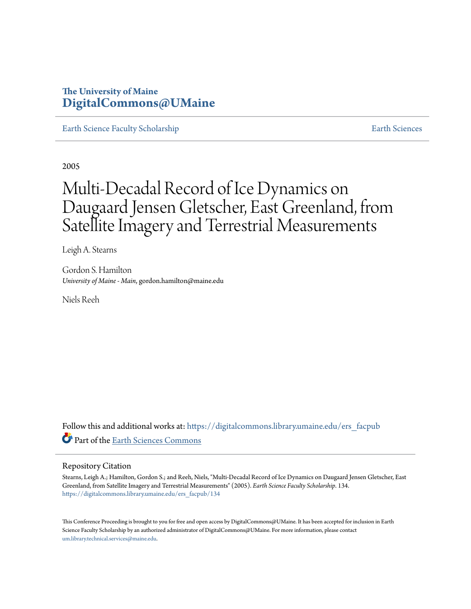### **The University of Maine [DigitalCommons@UMaine](https://digitalcommons.library.umaine.edu?utm_source=digitalcommons.library.umaine.edu%2Fers_facpub%2F134&utm_medium=PDF&utm_campaign=PDFCoverPages)**

[Earth Science Faculty Scholarship](https://digitalcommons.library.umaine.edu/ers_facpub?utm_source=digitalcommons.library.umaine.edu%2Fers_facpub%2F134&utm_medium=PDF&utm_campaign=PDFCoverPages) **[Earth Sciences](https://digitalcommons.library.umaine.edu/ers?utm_source=digitalcommons.library.umaine.edu%2Fers_facpub%2F134&utm_medium=PDF&utm_campaign=PDFCoverPages)** 

2005

# Multi-Decadal Record of Ice Dynamics on Daugaard Jensen Gletscher, East Greenland, from Satellite Imagery and Terrestrial Measurements

Leigh A. Stearns

Gordon S. Hamilton *University of Maine - Main*, gordon.hamilton@maine.edu

Niels Reeh

Follow this and additional works at: [https://digitalcommons.library.umaine.edu/ers\\_facpub](https://digitalcommons.library.umaine.edu/ers_facpub?utm_source=digitalcommons.library.umaine.edu%2Fers_facpub%2F134&utm_medium=PDF&utm_campaign=PDFCoverPages) Part of the [Earth Sciences Commons](http://network.bepress.com/hgg/discipline/153?utm_source=digitalcommons.library.umaine.edu%2Fers_facpub%2F134&utm_medium=PDF&utm_campaign=PDFCoverPages)

#### Repository Citation

Stearns, Leigh A.; Hamilton, Gordon S.; and Reeh, Niels, "Multi-Decadal Record of Ice Dynamics on Daugaard Jensen Gletscher, East Greenland, from Satellite Imagery and Terrestrial Measurements" (2005). *Earth Science Faculty Scholarship*. 134. [https://digitalcommons.library.umaine.edu/ers\\_facpub/134](https://digitalcommons.library.umaine.edu/ers_facpub/134?utm_source=digitalcommons.library.umaine.edu%2Fers_facpub%2F134&utm_medium=PDF&utm_campaign=PDFCoverPages)

This Conference Proceeding is brought to you for free and open access by DigitalCommons@UMaine. It has been accepted for inclusion in Earth Science Faculty Scholarship by an authorized administrator of DigitalCommons@UMaine. For more information, please contact [um.library.technical.services@maine.edu](mailto:um.library.technical.services@maine.edu).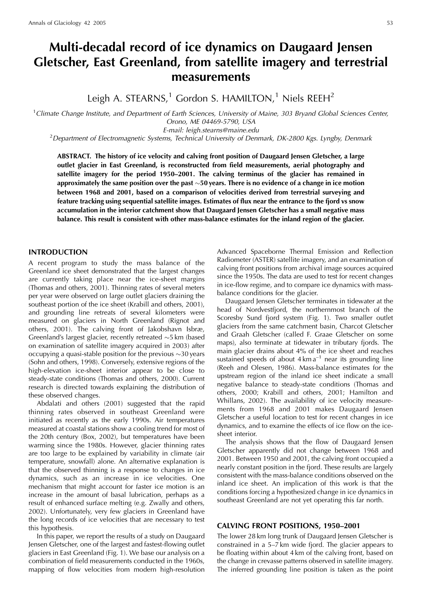## Multi-decadal record of ice dynamics on Daugaard Jensen Gletscher, East Greenland, from satellite imagery and terrestrial measurements

Leigh A. STEARNS,<sup>1</sup> Gordon S. HAMILTON,<sup>1</sup> Niels REEH<sup>2</sup>

<sup>1</sup>Climate Change Institute, and Department of Earth Sciences, University of Maine, 303 Bryand Global Sciences Center, Orono, ME 04469-5790, USA

E-mail: leigh.stearns@maine.edu

<sup>2</sup>Department of Electromagnetic Systems, Technical University of Denmark, DK-2800 Kgs. Lyngby, Denmark

ABSTRACT. The history of ice velocity and calving front position of Daugaard Jensen Gletscher, a large outlet glacier in East Greenland, is reconstructed from field measurements, aerial photography and satellite imagery for the period 1950–2001. The calving terminus of the glacier has remained in approximately the same position over the past  $\sim$  50 years. There is no evidence of a change in ice motion between 1968 and 2001, based on a comparison of velocities derived from terrestrial surveying and feature tracking using sequential satellite images. Estimates of flux near the entrance to the fjord vs snow accumulation in the interior catchment show that Daugaard Jensen Gletscher has a small negative mass balance. This result is consistent with other mass-balance estimates for the inland region of the glacier.

#### **INTRODUCTION**

A recent program to study the mass balance of the Greenland ice sheet demonstrated that the largest changes are currently taking place near the ice-sheet margins (Thomas and others, 2001). Thinning rates of several meters per year were observed on large outlet glaciers draining the southeast portion of the ice sheet (Krabill and others, 2001), and grounding line retreats of several kilometers were measured on glaciers in North Greenland (Rignot and others, 2001). The calving front of Jakobshavn Isbræ, Greenland's largest glacier, recently retreated  $\sim$ 5 km (based on examination of satellite imagery acquired in 2003) after occupying a quasi-stable position for the previous  $\sim$ 30 years (Sohn and others, 1998). Conversely, extensive regions of the high-elevation ice-sheet interior appear to be close to steady-state conditions (Thomas and others, 2000). Current research is directed towards explaining the distribution of these observed changes.

Abdalati and others (2001) suggested that the rapid thinning rates observed in southeast Greenland were initiated as recently as the early 1990s. Air temperatures measured at coastal stations show a cooling trend for most of the 20th century (Box, 2002), but temperatures have been warming since the 1980s. However, glacier thinning rates are too large to be explained by variability in climate (air temperature, snowfall) alone. An alternative explanation is that the observed thinning is a response to changes in ice dynamics, such as an increase in ice velocities. One mechanism that might account for faster ice motion is an increase in the amount of basal lubrication, perhaps as a result of enhanced surface melting (e.g. Zwally and others, 2002). Unfortunately, very few glaciers in Greenland have the long records of ice velocities that are necessary to test this hypothesis.

In this paper, we report the results of a study on Daugaard Jensen Gletscher, one of the largest and fastest-flowing outlet glaciers in East Greenland (Fig. 1). We base our analysis on a combination of field measurements conducted in the 1960s, mapping of flow velocities from modern high-resolution

Advanced Spaceborne Thermal Emission and Reflection Radiometer (ASTER) satellite imagery, and an examination of calving front positions from archival image sources acquired since the 1950s. The data are used to test for recent changes in ice-flow regime, and to compare ice dynamics with massbalance conditions for the glacier.

Daugaard Jensen Gletscher terminates in tidewater at the head of Nordvestfjord, the northernmost branch of the Scoresby Sund fjord system (Fig. 1). Two smaller outlet glaciers from the same catchment basin, Charcot Gletscher and Graah Gletscher (called F. Graae Gletscher on some maps), also terminate at tidewater in tributary fjords. The main glacier drains about 4% of the ice sheet and reaches sustained speeds of about  $4 \text{ km a}^{-1}$  near its grounding line (Reeh and Olesen, 1986). Mass-balance estimates for the upstream region of the inland ice sheet indicate a small negative balance to steady-state conditions (Thomas and others, 2000; Krabill and others, 2001; Hamilton and Whillans, 2002). The availability of ice velocity measurements from 1968 and 2001 makes Daugaard Jensen Gletscher a useful location to test for recent changes in ice dynamics, and to examine the effects of ice flow on the icesheet interior.

The analysis shows that the flow of Daugaard Jensen Gletscher apparently did not change between 1968 and 2001. Between 1950 and 2001, the calving front occupied a nearly constant position in the fjord. These results are largely consistent with the mass-balance conditions observed on the inland ice sheet. An implication of this work is that the conditions forcing a hypothesized change in ice dynamics in southeast Greenland are not yet operating this far north.

#### **CALVING FRONT POSITIONS, 1950-2001**

The lower 28 km long trunk of Daugaard Jensen Gletscher is constrained in a  $5-7$  km wide fjord. The glacier appears to be floating within about 4 km of the calving front, based on the change in crevasse patterns observed in satellite imagery. The inferred grounding line position is taken as the point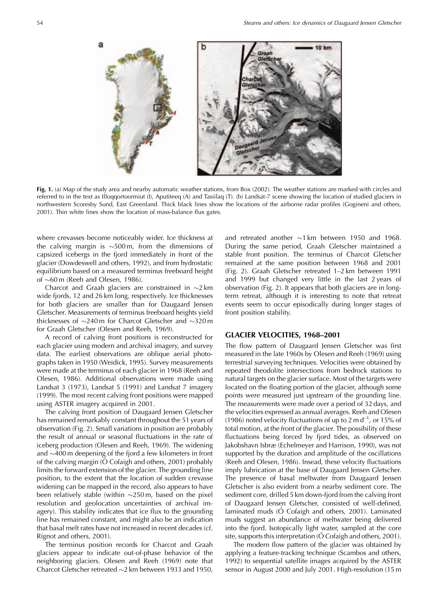

Fig. 1. (a) Map of the study area and nearby automatic weather stations, from Box (2002). The weather stations are marked with circles and referred to in the text as Illoggortoormiut (I), Aputiteeg (A) and Tasiilag (T). (b) Landsat-7 scene showing the location of studied glaciers in northwestern Scoresby Sund, East Greenland. Thick black lines show the locations of the airborne radar profiles (Gogineni and others, 2001). Thin white lines show the location of mass-balance flux gates.

where crevasses become noticeably wider. Ice thickness at the calving margin is  $\sim$ 500 m, from the dimensions of capsized icebergs in the fjord immediately in front of the glacier (Dowdeswell and others, 1992), and from hydrostatic equilibrium based on a measured terminus freeboard height of  $\sim$  60 m (Reeh and Olesen, 1986).

Charcot and Graah glaciers are constrained in  $\sim$ 2 km wide fjords, 12 and 26 km long, respectively. Ice thicknesses for both glaciers are smaller than for Daugaard Jensen Gletscher. Measurements of terminus freeboard heights yield thicknesses of  $\sim$ 240 m for Charcot Gletscher and  $\sim$ 320 m for Graah Gletscher (Olesen and Reeh, 1969).

A record of calving front positions is reconstructed for each glacier using modern and archival imagery, and survey data. The earliest observations are oblique aerial photographs taken in 1950 (Weidick, 1995). Survey measurements were made at the terminus of each glacier in 1968 (Reeh and Olesen, 1986). Additional observations were made using Landsat 3 (1973), Landsat 5 (1991) and Landsat 7 imagery (1999). The most recent calving front positions were mapped using ASTER imagery acquired in 2001.

The calving front position of Daugaard Jensen Gletscher has remained remarkably constant throughout the 51 years of observation (Fig. 2). Small variations in position are probably the result of annual or seasonal fluctuations in the rate of iceberg production (Olesen and Reeh, 1969). The widening and  $\sim$ 400 m deepening of the fjord a few kilometers in front of the calving margin ( $\acute{o}$  Cofaigh and others, 2001) probably limits the forward extension of the glacier. The grounding line position, to the extent that the location of sudden crevasse widening can be mapped in the record, also appears to have been relatively stable (within  $\sim$ 250 m, based on the pixel resolution and geolocation uncertainties of archival imagery). This stability indicates that ice flux to the grounding line has remained constant, and might also be an indication that basal melt rates have not increased in recent decades (cf. Rignot and others, 2001).

The terminus position records for Charcot and Graah glaciers appear to indicate out-of-phase behavior of the neighboring glaciers. Olesen and Reeh (1969) note that Charcot Gletscher retreated  $\sim$ 2 km between 1933 and 1950,

and retreated another  $\sim$ 1 km between 1950 and 1968. During the same period, Graah Gletscher maintained a stable front position. The terminus of Charcot Gletscher remained at the same position between 1968 and 2001 (Fig. 2). Graah Gletscher retreated 1-2 km between 1991 and 1999 but changed very little in the last 2 years of observation (Fig. 2). It appears that both glaciers are in longterm retreat, although it is interesting to note that retreat events seem to occur episodically during longer stages of front position stability.

#### **GLACIER VELOCITIES, 1968-2001**

The flow pattern of Daugaard Jensen Gletscher was first measured in the late 1960s by Olesen and Reeh (1969) using terrestrial surveying techniques. Velocities were obtained by repeated theodolite intersections from bedrock stations to natural targets on the glacier surface. Most of the targets were located on the floating portion of the glacier, although some points were measured just upstream of the grounding line. The measurements were made over a period of 32 days, and the velocities expressed as annual averages. Reeh and Olesen (1986) noted velocity fluctuations of up to 2 m  $d^{-1}$ , or 15% of total motion, at the front of the glacier. The possibility of these fluctuations being forced by fjord tides, as observed on Jakobshavn Isbræ (Echelmeyer and Harrison, 1990), was not supported by the duration and amplitude of the oscillations (Reeh and Olesen, 1986). Insead, these velocity fluctuations imply lubrication at the base of Daugaard Jensen Gletscher. The presence of basal meltwater from Daugaard Jensen Gletscher is also evident from a nearby sediment core. The sediment core, drilled 5 km down-fjord from the calving front of Daugaard Jensen Gletscher, consisted of well-defined, laminated muds (Ó Cofaigh and others, 2001). Laminated muds suggest an abundance of meltwater being delivered into the fjord. Isotopically light water, sampled at the core site, supports this interpretation ( $\acute{\text{O}}$  Cofaigh and others, 2001).

The modern flow pattern of the glacier was obtained by applying a feature-tracking technique (Scambos and others, 1992) to sequential satellite images acquired by the ASTER sensor in August 2000 and July 2001. High-resolution (15 m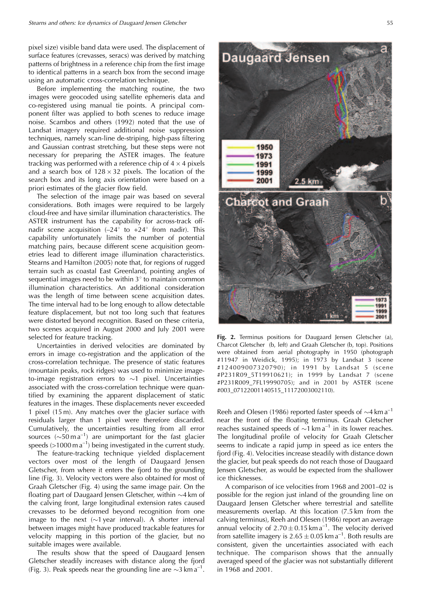pixel size) visible band data were used. The displacement of surface features (crevasses, seracs) was derived by matching patterns of brightness in a reference chip from the first image to identical patterns in a search box from the second image using an automatic cross-correlation technique.

Before implementing the matching routine, the two images were geocoded using satellite ephemeris data and co-registered using manual tie points. A principal component filter was applied to both scenes to reduce image noise. Scambos and others (1992) noted that the use of Landsat imagery required additional noise suppression techniques, namely scan-line de-striping, high-pass filtering and Gaussian contrast stretching, but these steps were not necessary for preparing the ASTER images. The feature tracking was performed with a reference chip of  $4 \times 4$  pixels and a search box of  $128 \times 32$  pixels. The location of the search box and its long axis orientation were based on a priori estimates of the glacier flow field.

The selection of the image pair was based on several considerations. Both images were required to be largely cloud-free and have similar illumination characteristics. The ASTER instrument has the capability for across-track offnadir scene acquisition  $(-24)$ <sup>o</sup> to  $+24$ <sup>o</sup> from nadir). This capability unfortunately limits the number of potential matching pairs, because different scene acquisition geometries lead to different image illumination characteristics. Stearns and Hamilton (2005) note that, for regions of rugged terrain such as coastal East Greenland, pointing angles of sequential images need to be within  $3^\circ$  to maintain common illumination characteristics. An additional consideration was the length of time between scene acquisition dates. The time interval had to be long enough to allow detectable feature displacement, but not too long such that features were distorted beyond recognition. Based on these criteria, two scenes acquired in August 2000 and July 2001 were selected for feature tracking.

Uncertainties in derived velocities are dominated by errors in image co-registration and the application of the cross-correlation technique. The presence of static features (mountain peaks, rock ridges) was used to minimize imageto-image registration errors to  $\sim$ 1 pixel. Uncertainties associated with the cross-correlation technique were quantified by examining the apparent displacement of static features in the images. These displacements never exceeded 1 pixel (15 m). Any matches over the glacier surface with residuals larger than 1 pixel were therefore discarded. Cumulatively, the uncertainties resulting from all error sources ( $\sim$ 50 m a<sup>-1</sup>) are unimportant for the fast glacier speeds ( $>1000$  m a<sup>-1</sup>) being investigated in the current study.

The feature-tracking technique yielded displacement vectors over most of the length of Daugaard Jensen Gletscher, from where it enters the fjord to the grounding line (Fig. 3). Velocity vectors were also obtained for most of Graah Gletscher (Fig. 4) using the same image pair. On the floating part of Daugaard Jensen Gletscher, within  $\sim$ 4 km of the calving front, large longitudinal extension rates caused crevasses to be deformed beyond recognition from one image to the next  $(\sim 1$  year interval). A shorter interval between images might have produced trackable features for velocity mapping in this portion of the glacier, but no suitable images were available.

The results show that the speed of Daugaard Jensen Gletscher steadily increases with distance along the fjord (Fig. 3). Peak speeds near the grounding line are  $\sim$ 3 km a<sup>-1</sup>.



Fig. 2. Terminus positions for Daugaard Jensen Gletscher (a), Charcot Gletscher (b, left) and Graah Gletscher (b, top). Positions were obtained from aerial photography in 1950 (photograph #11947 in Weidick, 1995); in 1973 by Landsat 3 (scene #124009007320790); in 1991 by Landsat 5 (scene #P231R09\_5T19910621); in 1999 by Landsat 7 (scene #P231R009\_7FL19990705); and in 2001 by ASTER (scene #003\_07122001140515\_11172003002110).

Reeh and Olesen (1986) reported faster speeds of  $\sim$ 4 km a<sup>-1</sup> near the front of the floating terminus. Graah Gletscher reaches sustained speeds of  $\sim$ 1 km a<sup>-1</sup> in its lower reaches. The longitudinal profile of velocity for Graah Gletscher seems to indicate a rapid jump in speed as ice enters the fjord (Fig. 4). Velocities increase steadily with distance down the glacier, but peak speeds do not reach those of Daugaard Jensen Gletscher, as would be expected from the shallower ice thicknesses.

A comparison of ice velocities from 1968 and 2001-02 is possible for the region just inland of the grounding line on Daugaard Jensen Gletscher where terrestrial and satellite measurements overlap. At this location (7.5 km from the calving terminus), Reeh and Olesen (1986) report an average annual velocity of  $2.70 \pm 0.15$  km a<sup>-1</sup>. The velocity derived from satellite imagery is  $2.65 \pm 0.05$  km a<sup>-1</sup>. Both results are consistent, given the uncertainties associated with each technique. The comparison shows that the annually averaged speed of the glacier was not substantially different in 1968 and 2001.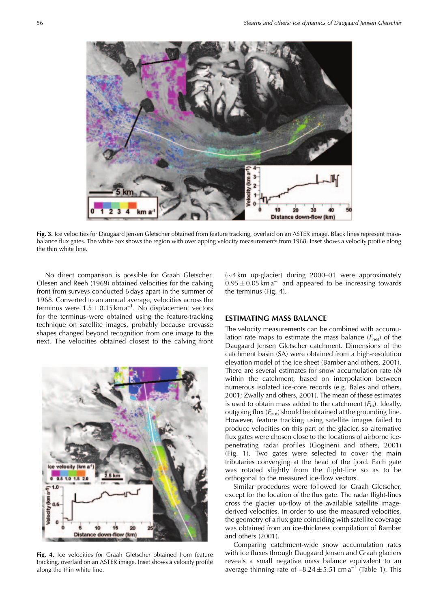

Fig. 3. Ice velocities for Daugaard Jensen Gletscher obtained from feature tracking, overlaid on an ASTER image. Black lines represent massbalance flux gates. The white box shows the region with overlapping velocity measurements from 1968. Inset shows a velocity profile along the thin white line.

No direct comparison is possible for Graah Gletscher. Olesen and Reeh (1969) obtained velocities for the calving front from surveys conducted 6 days apart in the summer of 1968. Converted to an annual average, velocities across the terminus were  $1.5 \pm 0.15$  km a<sup>-1</sup>. No displacement vectors for the terminus were obtained using the feature-tracking technique on satellite images, probably because crevasse shapes changed beyond recognition from one image to the next. The velocities obtained closest to the calving front



Fig. 4. Ice velocities for Graah Gletscher obtained from feature tracking, overlaid on an ASTER image. Inset shows a velocity profile along the thin white line.

 $(\sim 4 \text{ km}$  up-glacier) during 2000–01 were approximately  $0.95 \pm 0.05$  km a<sup>-1</sup> and appeared to be increasing towards the terminus (Fig. 4).

#### **ESTIMATING MASS BALANCE**

The velocity measurements can be combined with accumulation rate maps to estimate the mass balance  $(F_{\text{net}})$  of the Daugaard Jensen Gletscher catchment. Dimensions of the catchment basin (SA) were obtained from a high-resolution elevation model of the ice sheet (Bamber and others, 2001). There are several estimates for snow accumulation rate  $(b)$ within the catchment, based on interpolation between numerous isolated ice-core records (e.g. Bales and others, 2001; Zwally and others, 2001). The mean of these estimates is used to obtain mass added to the catchment  $(F_{in})$ . Ideally, outgoing flux  $(F_{out})$  should be obtained at the grounding line. However, feature tracking using satellite images failed to produce velocities on this part of the glacier, so alternative flux gates were chosen close to the locations of airborne icepenetrating radar profiles (Gogineni and others, 2001) (Fig. 1). Two gates were selected to cover the main tributaries converging at the head of the fjord. Each gate was rotated slightly from the flight-line so as to be orthogonal to the measured ice-flow vectors.

Similar procedures were followed for Graah Gletscher, except for the location of the flux gate. The radar flight-lines cross the glacier up-flow of the available satellite imagederived velocities. In order to use the measured velocities, the geometry of a flux gate coinciding with satellite coverage was obtained from an ice-thickness compilation of Bamber and others (2001).

Comparing catchment-wide snow accumulation rates with ice fluxes through Daugaard Jensen and Graah glaciers reveals a small negative mass balance equivalent to an average thinning rate of  $-8.24 \pm 5.51$  cm a<sup>-1</sup> (Table 1). This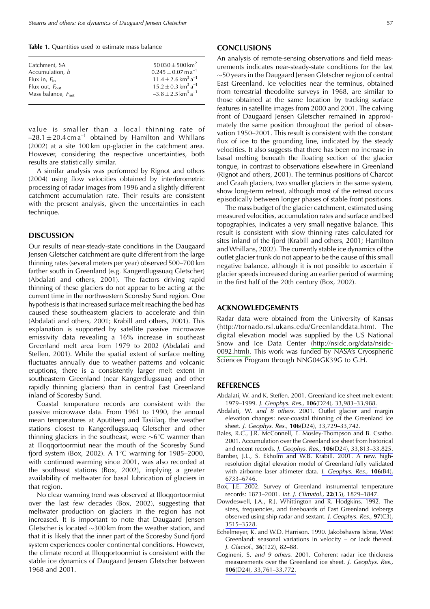Table 1. Quantities used to estimate mass balance

| Catchment, SA                  | $50030 \pm 500$ km <sup>2</sup>              |
|--------------------------------|----------------------------------------------|
| Accumulation, b                | $0.245 \pm 0.07$ m a <sup>-1</sup>           |
| Flux in, $F_{\text{in}}$       | $11.4 + 2.6$ km <sup>3</sup> a <sup>-1</sup> |
| Flux out, $F_{\text{out}}$     | $15.2 + 0.3$ km <sup>3</sup> a <sup>-1</sup> |
| Mass balance, $F_{\text{net}}$ | $-3.8 + 2.5$ km <sup>3</sup> a <sup>-1</sup> |
|                                |                                              |

value is smaller than a local thinning rate of  $-28.1 \pm 20.4$  cm a<sup>-1</sup> obtained by Hamilton and Whillans (2002) at a site 100 km up-glacier in the catchment area. However, considering the respective uncertainties, both results are statistically similar.

A similar analysis was performed by Rignot and others (2004) using flow velocities obtained by interferometric processing of radar images from 1996 and a slightly different catchment accumulation rate. Their results are consistent with the present analysis, given the uncertainties in each technique.

#### **DISCUSSION**

Our results of near-steady-state conditions in the Daugaard Jensen Gletscher catchment are quite different from the large thinning rates (several meters per year) observed 500-700 km farther south in Greenland (e.g. Kangerdlugssuag Gletscher) (Abdalati and others, 2001). The factors driving rapid thinning of these glaciers do not appear to be acting at the current time in the northwestern Scoresby Sund region. One hypothesis is that increased surface melt reaching the bed has caused these southeastern glaciers to accelerate and thin (Abdalati and others, 2001; Krabill and others, 2001). This explanation is supported by satellite passive microwave emissivity data revealing a 16% increase in southeast Greenland melt area from 1979 to 2002 (Abdalati and Steffen, 2001). While the spatial extent of surface melting fluctuates annually due to weather patterns and volcanic eruptions, there is a consistently larger melt extent in southeastern Greenland (near Kangerdlugssuaq and other rapidly thinning glaciers) than in central East Greenland inland of Scoresby Sund.

Coastal temperature records are consistent with the passive microwave data. From 1961 to 1990, the annual mean temperatures at Aputiteeq and Tasiilaq, the weather stations closest to Kangerdlugssuag Gletscher and other thinning glaciers in the southeast, were  $\sim6^{\circ}$ C warmer than at Illoqqortoormiut near the mouth of the Scoresby Sund fjord system (Box, 2002). A 1°C warming for 1985-2000, with continued warming since 2001, was also recorded at the southeast stations (Box, 2002), implying a greater availability of meltwater for basal lubrication of glaciers in that region.

No clear warming trend was observed at Illoquortoormiut over the last few decades (Box, 2002), suggesting that meltwater production on glaciers in the region has not increased. It is important to note that Daugaard Jensen Gletscher is located  $\sim$ 300 km from the weather station, and that it is likely that the inner part of the Scoresby Sund fjord system experiences cooler continental conditions. However, the climate record at Illoggortoormiut is consistent with the stable ice dynamics of Daugaard Jensen Gletscher between 1968 and 2001.

#### **CONCLUSIONS**

An analysis of remote-sensing observations and field measurements indicates near-steady-state conditions for the last  $\sim$  50 years in the Daugaard Jensen Gletscher region of central East Greenland, Ice velocities near the terminus, obtained from terrestrial theodolite surveys in 1968, are similar to those obtained at the same location by tracking surface features in satellite images from 2000 and 2001. The calving front of Daugaard Jensen Gletscher remained in approximately the same position throughout the period of observation 1950–2001. This result is consistent with the constant flux of ice to the grounding line, indicated by the steady velocities. It also suggests that there has been no increase in basal melting beneath the floating section of the glacier tongue, in contrast to observations elsewhere in Greenland (Rignot and others, 2001). The terminus positions of Charcot and Graah glaciers, two smaller glaciers in the same system, show long-term retreat, although most of the retreat occurs episodically between longer phases of stable front positions.

The mass budget of the glacier catchment, estimated using measured velocities, accumulation rates and surface and bed topographies, indicates a very small negative balance. This result is consistent with slow thinning rates calculated for sites inland of the fjord (Krabill and others, 2001; Hamilton and Whillans, 2002). The currently stable ice dynamics of the outlet glacier trunk do not appear to be the cause of this small negative balance, although it is not possible to ascertain if glacier speeds increased during an earlier period of warming in the first half of the 20th century (Box, 2002).

#### **ACKNOWLEDGEMENTS**

Radar data were obtained from the University of Kansas (http://tornado.rsl.ukans.edu/Greenlanddata.htm). The digital elevation model was supplied by the US National Snow and Ice Data Center (http://nsidc.org/data/nsidc-0092.html). This work was funded by NASA's Cryospheric Sciences Program through NNG04GK39G to G.H.

#### **REFERENCES**

- Abdalati, W. and K. Steffen. 2001. Greenland ice sheet melt extent: 1979-1999. J. Geophys. Res., 106(D24), 33,983-33,988.
- Abdalati, W. and 8 others. 2001. Outlet glacier and margin elevation changes: near-coastal thinning of the Greenland ice sheet. J. Geophys. Res., 106(D24), 33,729-33,742.
- Bales, R.C., J.R. McConnell, E. Mosley-Thompson and B. Csatho. 2001. Accumulation over the Greenland ice sheet from historical and recent records. J. Geophys. Res., 106(D24), 33,813-33,825.
- Bamber, J.L., S. Ekholm and W.B. Krabill. 2001. A new, highresolution digital elevation model of Greenland fully validated with airborne laser altimeter data. J. Geophys. Res., 106(B4), 6733-6746.
- Box, J.E. 2002. Survey of Greenland instrumental temperature records: 1873-2001. Int. J. Climatol., 22(15), 1829-1847.
- Dowdeswell, J.A., R.J. Whittington and R. Hodgkins. 1992. The sizes, frequencies, and freeboards of East Greenland icebergs observed using ship radar and sextant. J. Geophys. Res., 97(C3), 3515-3528.
- Echelmeyer, K. and W.D. Harrison. 1990. Jakobshavns Isbræ, West Greenland: seasonal variations in velocity – or lack thereof. J. Glaciol., 36(122), 82-88.
- Gogineni, S. and 9 others. 2001. Coherent radar ice thickness measurements over the Greenland ice sheet. J. Geophys. Res., 106(D24), 33,761-33,772.